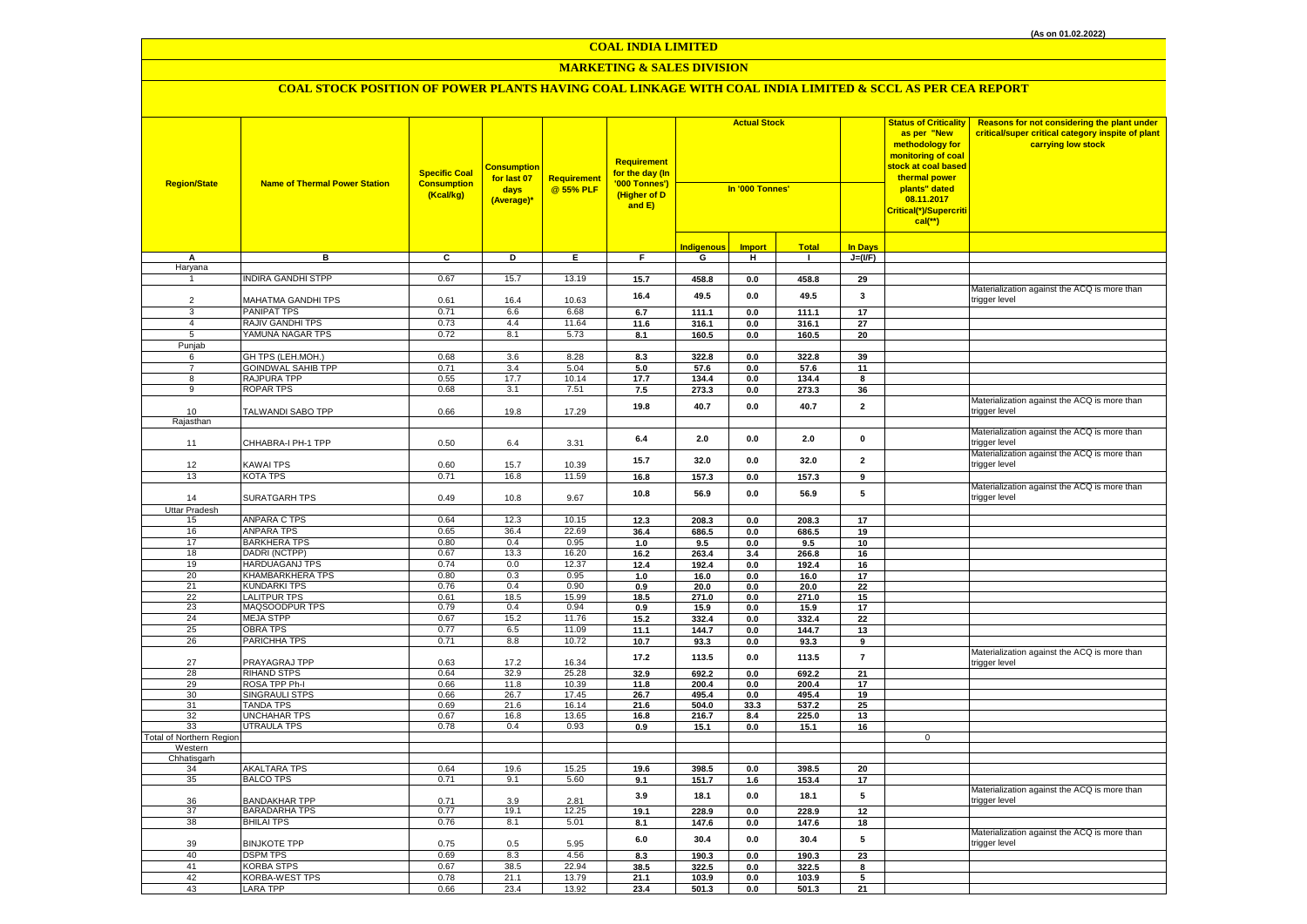# **MARKETING & SALES DIVISION**

| <b>In Days</b><br><b>Indigenous</b><br><b>Import</b><br><b>Total</b><br>C<br>D<br>E<br>$J=(VF)$<br>Α<br>в<br>F.<br>G<br>н<br>$\mathbf{1}$<br>Haryana<br><b>NDIRA GANDHI STPP</b><br>0.67<br>13.19<br>$\mathbf{1}$<br>15.7<br>15.7<br>458.8<br>$0.0\,$<br>458.8<br>29<br>Materialization against the ACQ is more than<br>16.4<br>49.5<br>0.0<br>49.5<br>3<br>MAHATMA GANDHI TPS<br>0.61<br>10.63<br>trigger level<br>$\overline{2}$<br>16.4<br><b>PANIPAT TPS</b><br>0.71<br>6.6<br>6.68<br>111.1<br>3<br>6.7<br>111.1<br>0.0<br>17<br>RAJIV GANDHI TPS<br>0.73<br>4.4<br>11.64<br>$\overline{4}$<br>11.6<br>316.1<br>316.1<br>27<br>0.0<br>YAMUNA NAGAR TPS<br>0.72<br>8.1<br>5.73<br>160.5<br>5<br>8.1<br>0.0<br>160.5<br>20<br>Punjab<br>GH TPS (LEH.MOH.)<br>0.68<br>3.6<br>8.28<br>8.3<br>322.8<br>322.8<br>39<br>6<br>0.0<br>$\overline{7}$<br>GOINDWAL SAHIB TPP<br>0.71<br>3.4<br>5.04<br>5.0<br>57.6<br>57.6<br>11<br>0.0<br>8<br>RAJPURA TPP<br>0.55<br>17.7<br>10.14<br>134.4<br>17.7<br>0.0<br>134.4<br>8<br><b>ROPAR TPS</b><br>0.68<br>3.1<br>7.51<br>9<br>7.5<br>273.3<br>273.3<br>0.0<br>36<br>Materialization against the ACQ is more than<br>19.8<br>40.7<br>40.7<br>$\overline{2}$<br>0.0<br>TALWANDI SABO TPP<br>0.66<br>19.8<br>17.29<br>trigger level<br>10<br>Rajasthan<br>Materialization against the ACQ is more than<br>6.4<br>2.0<br>0.0<br>2.0<br>0<br>CHHABRA-I PH-1 TPP<br>0.50<br>3.31<br>rigger level<br>6.4<br>11<br>Materialization against the ACQ is more than<br>$\overline{2}$<br>15.7<br>32.0<br>0.0<br>32.0<br>trigger level<br>10.39<br>12<br>KAWAI TPS<br>0.60<br>15.7<br>13<br>KOTA TPS<br>0.71<br>16.8<br>11.59<br>16.8<br>157.3<br>$0.0\,$<br>157.3<br>9<br>Materialization against the ACQ is more than<br>56.9<br>5<br>10.8<br>56.9<br>0.0<br>0.49<br>9.67<br>trigger level<br>14<br>SURATGARH TPS<br>10.8<br>Uttar Pradesh<br>ANPARA C TPS<br>0.64<br>12.3<br>10.15<br>12.3<br>208.3<br>208.3<br>15<br>$0.0\,$<br>17<br>16<br><b>ANPARA TPS</b><br>0.65<br>36.4<br>22.69<br>686.5<br>36.4<br>686.5<br>19<br>0.0<br><b>BARKHERA TPS</b><br>17<br>0.80<br>0.4<br>0.95<br>1.0<br>9.5<br>0.0<br>9.5<br>10<br>DADRI (NCTPP)<br>13.3<br>18<br>0.67<br>16.20<br>16.2<br>263.4<br>3.4<br>266.8<br>16<br>19<br><b>HARDUAGANJ TPS</b><br>0.74<br>0.0<br>12.37<br>12.4<br>192.4<br>$0.0\,$<br>192.4<br>16<br>KHAMBARKHERA TPS<br>20<br>0.80<br>0.3<br>0.95<br>1.0<br>16.0<br>16.0<br>17<br>$0.0\,$<br>21<br><b>KUNDARKI TPS</b><br>0.76<br>0.4<br>0.90<br>20.0<br>22<br>0.9<br>0.0<br>20.0<br>22<br><b>LALITPUR TPS</b><br>0.61<br>18.5<br>15.99<br>271.0<br>271.0<br>15<br>18.5<br>0.0<br>23<br>MAQSOODPUR TPS<br>0.79<br>0.4<br>0.94<br>15.9<br>0.9<br>0.0<br>15.9<br>17<br>24<br><b>MEJA STPP</b><br>0.67<br>15.2<br>11.76<br>15.2<br>332.4<br>0.0<br>332.4<br>22<br>25<br>0.77<br>6.5<br><b>OBRA TPS</b><br>11.09<br>11.1<br>144.7<br>0.0<br>144.7<br>13<br>26<br>PARICHHA TPS<br>0.71<br>8.8<br>10.72<br>10.7<br>93.3<br>93.3<br>0.0<br>9<br>Materialization against the ACQ is more than<br>17.2<br>113.5<br>$\overline{7}$<br>113.5<br>0.0<br>27<br>PRAYAGRAJ TPP<br>0.63<br>17.2<br>16.34<br>trigger level<br>32.9<br>692.2<br>692.2<br>21<br>28<br><b>RIHAND STPS</b><br>0.64<br>32.9<br>25.28<br>0.0<br>29<br>ROSA TPP Ph-I<br>0.66<br>11.8<br>10.39<br>11.8<br>200.4<br>0.0<br>200.4<br>17<br><b>SINGRAULI STPS</b><br>30<br>0.66<br>26.7<br>17.45<br>26.7<br>495.4<br>0.0<br>495.4<br>19<br>31<br>TANDA TPS<br>0.69<br>21.6<br>16.14<br>504.0<br>33.3<br>25 | Reasons for not considering the plant under<br>critical/super critical category inspite of plant |
|-------------------------------------------------------------------------------------------------------------------------------------------------------------------------------------------------------------------------------------------------------------------------------------------------------------------------------------------------------------------------------------------------------------------------------------------------------------------------------------------------------------------------------------------------------------------------------------------------------------------------------------------------------------------------------------------------------------------------------------------------------------------------------------------------------------------------------------------------------------------------------------------------------------------------------------------------------------------------------------------------------------------------------------------------------------------------------------------------------------------------------------------------------------------------------------------------------------------------------------------------------------------------------------------------------------------------------------------------------------------------------------------------------------------------------------------------------------------------------------------------------------------------------------------------------------------------------------------------------------------------------------------------------------------------------------------------------------------------------------------------------------------------------------------------------------------------------------------------------------------------------------------------------------------------------------------------------------------------------------------------------------------------------------------------------------------------------------------------------------------------------------------------------------------------------------------------------------------------------------------------------------------------------------------------------------------------------------------------------------------------------------------------------------------------------------------------------------------------------------------------------------------------------------------------------------------------------------------------------------------------------------------------------------------------------------------------------------------------------------------------------------------------------------------------------------------------------------------------------------------------------------------------------------------------------------------------------------------------------------------------------------------------------------------------------------------------------------------------------------------------------------------------------------------------------------------------------------------------------------------------------------------------------------------------------------------------------------------------------------------------------------------------------------------------------------------------------------------------------------------------------------|--------------------------------------------------------------------------------------------------|
|                                                                                                                                                                                                                                                                                                                                                                                                                                                                                                                                                                                                                                                                                                                                                                                                                                                                                                                                                                                                                                                                                                                                                                                                                                                                                                                                                                                                                                                                                                                                                                                                                                                                                                                                                                                                                                                                                                                                                                                                                                                                                                                                                                                                                                                                                                                                                                                                                                                                                                                                                                                                                                                                                                                                                                                                                                                                                                                                                                                                                                                                                                                                                                                                                                                                                                                                                                                                                                                                                                             |                                                                                                  |
|                                                                                                                                                                                                                                                                                                                                                                                                                                                                                                                                                                                                                                                                                                                                                                                                                                                                                                                                                                                                                                                                                                                                                                                                                                                                                                                                                                                                                                                                                                                                                                                                                                                                                                                                                                                                                                                                                                                                                                                                                                                                                                                                                                                                                                                                                                                                                                                                                                                                                                                                                                                                                                                                                                                                                                                                                                                                                                                                                                                                                                                                                                                                                                                                                                                                                                                                                                                                                                                                                                             |                                                                                                  |
|                                                                                                                                                                                                                                                                                                                                                                                                                                                                                                                                                                                                                                                                                                                                                                                                                                                                                                                                                                                                                                                                                                                                                                                                                                                                                                                                                                                                                                                                                                                                                                                                                                                                                                                                                                                                                                                                                                                                                                                                                                                                                                                                                                                                                                                                                                                                                                                                                                                                                                                                                                                                                                                                                                                                                                                                                                                                                                                                                                                                                                                                                                                                                                                                                                                                                                                                                                                                                                                                                                             |                                                                                                  |
|                                                                                                                                                                                                                                                                                                                                                                                                                                                                                                                                                                                                                                                                                                                                                                                                                                                                                                                                                                                                                                                                                                                                                                                                                                                                                                                                                                                                                                                                                                                                                                                                                                                                                                                                                                                                                                                                                                                                                                                                                                                                                                                                                                                                                                                                                                                                                                                                                                                                                                                                                                                                                                                                                                                                                                                                                                                                                                                                                                                                                                                                                                                                                                                                                                                                                                                                                                                                                                                                                                             |                                                                                                  |
|                                                                                                                                                                                                                                                                                                                                                                                                                                                                                                                                                                                                                                                                                                                                                                                                                                                                                                                                                                                                                                                                                                                                                                                                                                                                                                                                                                                                                                                                                                                                                                                                                                                                                                                                                                                                                                                                                                                                                                                                                                                                                                                                                                                                                                                                                                                                                                                                                                                                                                                                                                                                                                                                                                                                                                                                                                                                                                                                                                                                                                                                                                                                                                                                                                                                                                                                                                                                                                                                                                             |                                                                                                  |
|                                                                                                                                                                                                                                                                                                                                                                                                                                                                                                                                                                                                                                                                                                                                                                                                                                                                                                                                                                                                                                                                                                                                                                                                                                                                                                                                                                                                                                                                                                                                                                                                                                                                                                                                                                                                                                                                                                                                                                                                                                                                                                                                                                                                                                                                                                                                                                                                                                                                                                                                                                                                                                                                                                                                                                                                                                                                                                                                                                                                                                                                                                                                                                                                                                                                                                                                                                                                                                                                                                             |                                                                                                  |
|                                                                                                                                                                                                                                                                                                                                                                                                                                                                                                                                                                                                                                                                                                                                                                                                                                                                                                                                                                                                                                                                                                                                                                                                                                                                                                                                                                                                                                                                                                                                                                                                                                                                                                                                                                                                                                                                                                                                                                                                                                                                                                                                                                                                                                                                                                                                                                                                                                                                                                                                                                                                                                                                                                                                                                                                                                                                                                                                                                                                                                                                                                                                                                                                                                                                                                                                                                                                                                                                                                             |                                                                                                  |
|                                                                                                                                                                                                                                                                                                                                                                                                                                                                                                                                                                                                                                                                                                                                                                                                                                                                                                                                                                                                                                                                                                                                                                                                                                                                                                                                                                                                                                                                                                                                                                                                                                                                                                                                                                                                                                                                                                                                                                                                                                                                                                                                                                                                                                                                                                                                                                                                                                                                                                                                                                                                                                                                                                                                                                                                                                                                                                                                                                                                                                                                                                                                                                                                                                                                                                                                                                                                                                                                                                             |                                                                                                  |
|                                                                                                                                                                                                                                                                                                                                                                                                                                                                                                                                                                                                                                                                                                                                                                                                                                                                                                                                                                                                                                                                                                                                                                                                                                                                                                                                                                                                                                                                                                                                                                                                                                                                                                                                                                                                                                                                                                                                                                                                                                                                                                                                                                                                                                                                                                                                                                                                                                                                                                                                                                                                                                                                                                                                                                                                                                                                                                                                                                                                                                                                                                                                                                                                                                                                                                                                                                                                                                                                                                             |                                                                                                  |
|                                                                                                                                                                                                                                                                                                                                                                                                                                                                                                                                                                                                                                                                                                                                                                                                                                                                                                                                                                                                                                                                                                                                                                                                                                                                                                                                                                                                                                                                                                                                                                                                                                                                                                                                                                                                                                                                                                                                                                                                                                                                                                                                                                                                                                                                                                                                                                                                                                                                                                                                                                                                                                                                                                                                                                                                                                                                                                                                                                                                                                                                                                                                                                                                                                                                                                                                                                                                                                                                                                             |                                                                                                  |
|                                                                                                                                                                                                                                                                                                                                                                                                                                                                                                                                                                                                                                                                                                                                                                                                                                                                                                                                                                                                                                                                                                                                                                                                                                                                                                                                                                                                                                                                                                                                                                                                                                                                                                                                                                                                                                                                                                                                                                                                                                                                                                                                                                                                                                                                                                                                                                                                                                                                                                                                                                                                                                                                                                                                                                                                                                                                                                                                                                                                                                                                                                                                                                                                                                                                                                                                                                                                                                                                                                             |                                                                                                  |
|                                                                                                                                                                                                                                                                                                                                                                                                                                                                                                                                                                                                                                                                                                                                                                                                                                                                                                                                                                                                                                                                                                                                                                                                                                                                                                                                                                                                                                                                                                                                                                                                                                                                                                                                                                                                                                                                                                                                                                                                                                                                                                                                                                                                                                                                                                                                                                                                                                                                                                                                                                                                                                                                                                                                                                                                                                                                                                                                                                                                                                                                                                                                                                                                                                                                                                                                                                                                                                                                                                             |                                                                                                  |
|                                                                                                                                                                                                                                                                                                                                                                                                                                                                                                                                                                                                                                                                                                                                                                                                                                                                                                                                                                                                                                                                                                                                                                                                                                                                                                                                                                                                                                                                                                                                                                                                                                                                                                                                                                                                                                                                                                                                                                                                                                                                                                                                                                                                                                                                                                                                                                                                                                                                                                                                                                                                                                                                                                                                                                                                                                                                                                                                                                                                                                                                                                                                                                                                                                                                                                                                                                                                                                                                                                             |                                                                                                  |
|                                                                                                                                                                                                                                                                                                                                                                                                                                                                                                                                                                                                                                                                                                                                                                                                                                                                                                                                                                                                                                                                                                                                                                                                                                                                                                                                                                                                                                                                                                                                                                                                                                                                                                                                                                                                                                                                                                                                                                                                                                                                                                                                                                                                                                                                                                                                                                                                                                                                                                                                                                                                                                                                                                                                                                                                                                                                                                                                                                                                                                                                                                                                                                                                                                                                                                                                                                                                                                                                                                             |                                                                                                  |
|                                                                                                                                                                                                                                                                                                                                                                                                                                                                                                                                                                                                                                                                                                                                                                                                                                                                                                                                                                                                                                                                                                                                                                                                                                                                                                                                                                                                                                                                                                                                                                                                                                                                                                                                                                                                                                                                                                                                                                                                                                                                                                                                                                                                                                                                                                                                                                                                                                                                                                                                                                                                                                                                                                                                                                                                                                                                                                                                                                                                                                                                                                                                                                                                                                                                                                                                                                                                                                                                                                             |                                                                                                  |
|                                                                                                                                                                                                                                                                                                                                                                                                                                                                                                                                                                                                                                                                                                                                                                                                                                                                                                                                                                                                                                                                                                                                                                                                                                                                                                                                                                                                                                                                                                                                                                                                                                                                                                                                                                                                                                                                                                                                                                                                                                                                                                                                                                                                                                                                                                                                                                                                                                                                                                                                                                                                                                                                                                                                                                                                                                                                                                                                                                                                                                                                                                                                                                                                                                                                                                                                                                                                                                                                                                             |                                                                                                  |
|                                                                                                                                                                                                                                                                                                                                                                                                                                                                                                                                                                                                                                                                                                                                                                                                                                                                                                                                                                                                                                                                                                                                                                                                                                                                                                                                                                                                                                                                                                                                                                                                                                                                                                                                                                                                                                                                                                                                                                                                                                                                                                                                                                                                                                                                                                                                                                                                                                                                                                                                                                                                                                                                                                                                                                                                                                                                                                                                                                                                                                                                                                                                                                                                                                                                                                                                                                                                                                                                                                             |                                                                                                  |
|                                                                                                                                                                                                                                                                                                                                                                                                                                                                                                                                                                                                                                                                                                                                                                                                                                                                                                                                                                                                                                                                                                                                                                                                                                                                                                                                                                                                                                                                                                                                                                                                                                                                                                                                                                                                                                                                                                                                                                                                                                                                                                                                                                                                                                                                                                                                                                                                                                                                                                                                                                                                                                                                                                                                                                                                                                                                                                                                                                                                                                                                                                                                                                                                                                                                                                                                                                                                                                                                                                             |                                                                                                  |
|                                                                                                                                                                                                                                                                                                                                                                                                                                                                                                                                                                                                                                                                                                                                                                                                                                                                                                                                                                                                                                                                                                                                                                                                                                                                                                                                                                                                                                                                                                                                                                                                                                                                                                                                                                                                                                                                                                                                                                                                                                                                                                                                                                                                                                                                                                                                                                                                                                                                                                                                                                                                                                                                                                                                                                                                                                                                                                                                                                                                                                                                                                                                                                                                                                                                                                                                                                                                                                                                                                             |                                                                                                  |
|                                                                                                                                                                                                                                                                                                                                                                                                                                                                                                                                                                                                                                                                                                                                                                                                                                                                                                                                                                                                                                                                                                                                                                                                                                                                                                                                                                                                                                                                                                                                                                                                                                                                                                                                                                                                                                                                                                                                                                                                                                                                                                                                                                                                                                                                                                                                                                                                                                                                                                                                                                                                                                                                                                                                                                                                                                                                                                                                                                                                                                                                                                                                                                                                                                                                                                                                                                                                                                                                                                             |                                                                                                  |
|                                                                                                                                                                                                                                                                                                                                                                                                                                                                                                                                                                                                                                                                                                                                                                                                                                                                                                                                                                                                                                                                                                                                                                                                                                                                                                                                                                                                                                                                                                                                                                                                                                                                                                                                                                                                                                                                                                                                                                                                                                                                                                                                                                                                                                                                                                                                                                                                                                                                                                                                                                                                                                                                                                                                                                                                                                                                                                                                                                                                                                                                                                                                                                                                                                                                                                                                                                                                                                                                                                             |                                                                                                  |
|                                                                                                                                                                                                                                                                                                                                                                                                                                                                                                                                                                                                                                                                                                                                                                                                                                                                                                                                                                                                                                                                                                                                                                                                                                                                                                                                                                                                                                                                                                                                                                                                                                                                                                                                                                                                                                                                                                                                                                                                                                                                                                                                                                                                                                                                                                                                                                                                                                                                                                                                                                                                                                                                                                                                                                                                                                                                                                                                                                                                                                                                                                                                                                                                                                                                                                                                                                                                                                                                                                             |                                                                                                  |
|                                                                                                                                                                                                                                                                                                                                                                                                                                                                                                                                                                                                                                                                                                                                                                                                                                                                                                                                                                                                                                                                                                                                                                                                                                                                                                                                                                                                                                                                                                                                                                                                                                                                                                                                                                                                                                                                                                                                                                                                                                                                                                                                                                                                                                                                                                                                                                                                                                                                                                                                                                                                                                                                                                                                                                                                                                                                                                                                                                                                                                                                                                                                                                                                                                                                                                                                                                                                                                                                                                             |                                                                                                  |
|                                                                                                                                                                                                                                                                                                                                                                                                                                                                                                                                                                                                                                                                                                                                                                                                                                                                                                                                                                                                                                                                                                                                                                                                                                                                                                                                                                                                                                                                                                                                                                                                                                                                                                                                                                                                                                                                                                                                                                                                                                                                                                                                                                                                                                                                                                                                                                                                                                                                                                                                                                                                                                                                                                                                                                                                                                                                                                                                                                                                                                                                                                                                                                                                                                                                                                                                                                                                                                                                                                             |                                                                                                  |
|                                                                                                                                                                                                                                                                                                                                                                                                                                                                                                                                                                                                                                                                                                                                                                                                                                                                                                                                                                                                                                                                                                                                                                                                                                                                                                                                                                                                                                                                                                                                                                                                                                                                                                                                                                                                                                                                                                                                                                                                                                                                                                                                                                                                                                                                                                                                                                                                                                                                                                                                                                                                                                                                                                                                                                                                                                                                                                                                                                                                                                                                                                                                                                                                                                                                                                                                                                                                                                                                                                             |                                                                                                  |
|                                                                                                                                                                                                                                                                                                                                                                                                                                                                                                                                                                                                                                                                                                                                                                                                                                                                                                                                                                                                                                                                                                                                                                                                                                                                                                                                                                                                                                                                                                                                                                                                                                                                                                                                                                                                                                                                                                                                                                                                                                                                                                                                                                                                                                                                                                                                                                                                                                                                                                                                                                                                                                                                                                                                                                                                                                                                                                                                                                                                                                                                                                                                                                                                                                                                                                                                                                                                                                                                                                             |                                                                                                  |
|                                                                                                                                                                                                                                                                                                                                                                                                                                                                                                                                                                                                                                                                                                                                                                                                                                                                                                                                                                                                                                                                                                                                                                                                                                                                                                                                                                                                                                                                                                                                                                                                                                                                                                                                                                                                                                                                                                                                                                                                                                                                                                                                                                                                                                                                                                                                                                                                                                                                                                                                                                                                                                                                                                                                                                                                                                                                                                                                                                                                                                                                                                                                                                                                                                                                                                                                                                                                                                                                                                             |                                                                                                  |
|                                                                                                                                                                                                                                                                                                                                                                                                                                                                                                                                                                                                                                                                                                                                                                                                                                                                                                                                                                                                                                                                                                                                                                                                                                                                                                                                                                                                                                                                                                                                                                                                                                                                                                                                                                                                                                                                                                                                                                                                                                                                                                                                                                                                                                                                                                                                                                                                                                                                                                                                                                                                                                                                                                                                                                                                                                                                                                                                                                                                                                                                                                                                                                                                                                                                                                                                                                                                                                                                                                             |                                                                                                  |
|                                                                                                                                                                                                                                                                                                                                                                                                                                                                                                                                                                                                                                                                                                                                                                                                                                                                                                                                                                                                                                                                                                                                                                                                                                                                                                                                                                                                                                                                                                                                                                                                                                                                                                                                                                                                                                                                                                                                                                                                                                                                                                                                                                                                                                                                                                                                                                                                                                                                                                                                                                                                                                                                                                                                                                                                                                                                                                                                                                                                                                                                                                                                                                                                                                                                                                                                                                                                                                                                                                             |                                                                                                  |
|                                                                                                                                                                                                                                                                                                                                                                                                                                                                                                                                                                                                                                                                                                                                                                                                                                                                                                                                                                                                                                                                                                                                                                                                                                                                                                                                                                                                                                                                                                                                                                                                                                                                                                                                                                                                                                                                                                                                                                                                                                                                                                                                                                                                                                                                                                                                                                                                                                                                                                                                                                                                                                                                                                                                                                                                                                                                                                                                                                                                                                                                                                                                                                                                                                                                                                                                                                                                                                                                                                             |                                                                                                  |
|                                                                                                                                                                                                                                                                                                                                                                                                                                                                                                                                                                                                                                                                                                                                                                                                                                                                                                                                                                                                                                                                                                                                                                                                                                                                                                                                                                                                                                                                                                                                                                                                                                                                                                                                                                                                                                                                                                                                                                                                                                                                                                                                                                                                                                                                                                                                                                                                                                                                                                                                                                                                                                                                                                                                                                                                                                                                                                                                                                                                                                                                                                                                                                                                                                                                                                                                                                                                                                                                                                             |                                                                                                  |
|                                                                                                                                                                                                                                                                                                                                                                                                                                                                                                                                                                                                                                                                                                                                                                                                                                                                                                                                                                                                                                                                                                                                                                                                                                                                                                                                                                                                                                                                                                                                                                                                                                                                                                                                                                                                                                                                                                                                                                                                                                                                                                                                                                                                                                                                                                                                                                                                                                                                                                                                                                                                                                                                                                                                                                                                                                                                                                                                                                                                                                                                                                                                                                                                                                                                                                                                                                                                                                                                                                             |                                                                                                  |
|                                                                                                                                                                                                                                                                                                                                                                                                                                                                                                                                                                                                                                                                                                                                                                                                                                                                                                                                                                                                                                                                                                                                                                                                                                                                                                                                                                                                                                                                                                                                                                                                                                                                                                                                                                                                                                                                                                                                                                                                                                                                                                                                                                                                                                                                                                                                                                                                                                                                                                                                                                                                                                                                                                                                                                                                                                                                                                                                                                                                                                                                                                                                                                                                                                                                                                                                                                                                                                                                                                             |                                                                                                  |
|                                                                                                                                                                                                                                                                                                                                                                                                                                                                                                                                                                                                                                                                                                                                                                                                                                                                                                                                                                                                                                                                                                                                                                                                                                                                                                                                                                                                                                                                                                                                                                                                                                                                                                                                                                                                                                                                                                                                                                                                                                                                                                                                                                                                                                                                                                                                                                                                                                                                                                                                                                                                                                                                                                                                                                                                                                                                                                                                                                                                                                                                                                                                                                                                                                                                                                                                                                                                                                                                                                             |                                                                                                  |
|                                                                                                                                                                                                                                                                                                                                                                                                                                                                                                                                                                                                                                                                                                                                                                                                                                                                                                                                                                                                                                                                                                                                                                                                                                                                                                                                                                                                                                                                                                                                                                                                                                                                                                                                                                                                                                                                                                                                                                                                                                                                                                                                                                                                                                                                                                                                                                                                                                                                                                                                                                                                                                                                                                                                                                                                                                                                                                                                                                                                                                                                                                                                                                                                                                                                                                                                                                                                                                                                                                             |                                                                                                  |
|                                                                                                                                                                                                                                                                                                                                                                                                                                                                                                                                                                                                                                                                                                                                                                                                                                                                                                                                                                                                                                                                                                                                                                                                                                                                                                                                                                                                                                                                                                                                                                                                                                                                                                                                                                                                                                                                                                                                                                                                                                                                                                                                                                                                                                                                                                                                                                                                                                                                                                                                                                                                                                                                                                                                                                                                                                                                                                                                                                                                                                                                                                                                                                                                                                                                                                                                                                                                                                                                                                             |                                                                                                  |
|                                                                                                                                                                                                                                                                                                                                                                                                                                                                                                                                                                                                                                                                                                                                                                                                                                                                                                                                                                                                                                                                                                                                                                                                                                                                                                                                                                                                                                                                                                                                                                                                                                                                                                                                                                                                                                                                                                                                                                                                                                                                                                                                                                                                                                                                                                                                                                                                                                                                                                                                                                                                                                                                                                                                                                                                                                                                                                                                                                                                                                                                                                                                                                                                                                                                                                                                                                                                                                                                                                             |                                                                                                  |
| 21.6<br>537.2                                                                                                                                                                                                                                                                                                                                                                                                                                                                                                                                                                                                                                                                                                                                                                                                                                                                                                                                                                                                                                                                                                                                                                                                                                                                                                                                                                                                                                                                                                                                                                                                                                                                                                                                                                                                                                                                                                                                                                                                                                                                                                                                                                                                                                                                                                                                                                                                                                                                                                                                                                                                                                                                                                                                                                                                                                                                                                                                                                                                                                                                                                                                                                                                                                                                                                                                                                                                                                                                                               |                                                                                                  |
| 32<br>UNCHAHAR TPS<br>0.67<br>16.8<br>13.65<br>16.8<br>216.7<br>8.4<br>225.0<br>13<br>33<br>UTRAULA TPS<br>0.78<br>0.4<br>0.93<br>15.1<br>0.9<br>0.0<br>15.1<br>16                                                                                                                                                                                                                                                                                                                                                                                                                                                                                                                                                                                                                                                                                                                                                                                                                                                                                                                                                                                                                                                                                                                                                                                                                                                                                                                                                                                                                                                                                                                                                                                                                                                                                                                                                                                                                                                                                                                                                                                                                                                                                                                                                                                                                                                                                                                                                                                                                                                                                                                                                                                                                                                                                                                                                                                                                                                                                                                                                                                                                                                                                                                                                                                                                                                                                                                                          |                                                                                                  |
| <b>Total of Northern Regior</b><br>$\mathbf 0$                                                                                                                                                                                                                                                                                                                                                                                                                                                                                                                                                                                                                                                                                                                                                                                                                                                                                                                                                                                                                                                                                                                                                                                                                                                                                                                                                                                                                                                                                                                                                                                                                                                                                                                                                                                                                                                                                                                                                                                                                                                                                                                                                                                                                                                                                                                                                                                                                                                                                                                                                                                                                                                                                                                                                                                                                                                                                                                                                                                                                                                                                                                                                                                                                                                                                                                                                                                                                                                              |                                                                                                  |
| Western                                                                                                                                                                                                                                                                                                                                                                                                                                                                                                                                                                                                                                                                                                                                                                                                                                                                                                                                                                                                                                                                                                                                                                                                                                                                                                                                                                                                                                                                                                                                                                                                                                                                                                                                                                                                                                                                                                                                                                                                                                                                                                                                                                                                                                                                                                                                                                                                                                                                                                                                                                                                                                                                                                                                                                                                                                                                                                                                                                                                                                                                                                                                                                                                                                                                                                                                                                                                                                                                                                     |                                                                                                  |
| Chhatisgarh                                                                                                                                                                                                                                                                                                                                                                                                                                                                                                                                                                                                                                                                                                                                                                                                                                                                                                                                                                                                                                                                                                                                                                                                                                                                                                                                                                                                                                                                                                                                                                                                                                                                                                                                                                                                                                                                                                                                                                                                                                                                                                                                                                                                                                                                                                                                                                                                                                                                                                                                                                                                                                                                                                                                                                                                                                                                                                                                                                                                                                                                                                                                                                                                                                                                                                                                                                                                                                                                                                 |                                                                                                  |
| <b>AKALTARA TPS</b><br>19.6<br>15.25<br>398.5<br>398.5<br>34<br>0.64<br>19.6<br>0.0<br>20                                                                                                                                                                                                                                                                                                                                                                                                                                                                                                                                                                                                                                                                                                                                                                                                                                                                                                                                                                                                                                                                                                                                                                                                                                                                                                                                                                                                                                                                                                                                                                                                                                                                                                                                                                                                                                                                                                                                                                                                                                                                                                                                                                                                                                                                                                                                                                                                                                                                                                                                                                                                                                                                                                                                                                                                                                                                                                                                                                                                                                                                                                                                                                                                                                                                                                                                                                                                                   |                                                                                                  |
| 35<br><b>BALCO TPS</b><br>0.71<br>9.1<br>5.60<br>9.1<br>151.7<br>153.4<br>1.6<br>17<br>Materialization against the ACQ is more than                                                                                                                                                                                                                                                                                                                                                                                                                                                                                                                                                                                                                                                                                                                                                                                                                                                                                                                                                                                                                                                                                                                                                                                                                                                                                                                                                                                                                                                                                                                                                                                                                                                                                                                                                                                                                                                                                                                                                                                                                                                                                                                                                                                                                                                                                                                                                                                                                                                                                                                                                                                                                                                                                                                                                                                                                                                                                                                                                                                                                                                                                                                                                                                                                                                                                                                                                                         |                                                                                                  |
| 3.9<br>18.1<br>0.0<br>18.1<br>5<br><b>BANDAKHAR TPP</b><br>0.71<br>3.9<br>2.81<br>trigger level<br>36                                                                                                                                                                                                                                                                                                                                                                                                                                                                                                                                                                                                                                                                                                                                                                                                                                                                                                                                                                                                                                                                                                                                                                                                                                                                                                                                                                                                                                                                                                                                                                                                                                                                                                                                                                                                                                                                                                                                                                                                                                                                                                                                                                                                                                                                                                                                                                                                                                                                                                                                                                                                                                                                                                                                                                                                                                                                                                                                                                                                                                                                                                                                                                                                                                                                                                                                                                                                       |                                                                                                  |
| 37<br>BARADARHA TPS<br>0.77<br>19.1<br>12.25<br>228.9<br>228.9<br>12<br>19.1<br>0.0                                                                                                                                                                                                                                                                                                                                                                                                                                                                                                                                                                                                                                                                                                                                                                                                                                                                                                                                                                                                                                                                                                                                                                                                                                                                                                                                                                                                                                                                                                                                                                                                                                                                                                                                                                                                                                                                                                                                                                                                                                                                                                                                                                                                                                                                                                                                                                                                                                                                                                                                                                                                                                                                                                                                                                                                                                                                                                                                                                                                                                                                                                                                                                                                                                                                                                                                                                                                                         |                                                                                                  |
| <b>BHILAI TPS</b><br>38<br>0.76<br>8.1<br>5.01<br>8.1<br>147.6<br>147.6<br>0.0<br>18                                                                                                                                                                                                                                                                                                                                                                                                                                                                                                                                                                                                                                                                                                                                                                                                                                                                                                                                                                                                                                                                                                                                                                                                                                                                                                                                                                                                                                                                                                                                                                                                                                                                                                                                                                                                                                                                                                                                                                                                                                                                                                                                                                                                                                                                                                                                                                                                                                                                                                                                                                                                                                                                                                                                                                                                                                                                                                                                                                                                                                                                                                                                                                                                                                                                                                                                                                                                                        |                                                                                                  |
| Materialization against the ACQ is more than<br>5<br>30.4<br>30.4<br>6.0<br>0.0                                                                                                                                                                                                                                                                                                                                                                                                                                                                                                                                                                                                                                                                                                                                                                                                                                                                                                                                                                                                                                                                                                                                                                                                                                                                                                                                                                                                                                                                                                                                                                                                                                                                                                                                                                                                                                                                                                                                                                                                                                                                                                                                                                                                                                                                                                                                                                                                                                                                                                                                                                                                                                                                                                                                                                                                                                                                                                                                                                                                                                                                                                                                                                                                                                                                                                                                                                                                                             |                                                                                                  |
| <b>BINJKOTE TPP</b><br>trigger level<br>39<br>0.75<br>0.5<br>5.95                                                                                                                                                                                                                                                                                                                                                                                                                                                                                                                                                                                                                                                                                                                                                                                                                                                                                                                                                                                                                                                                                                                                                                                                                                                                                                                                                                                                                                                                                                                                                                                                                                                                                                                                                                                                                                                                                                                                                                                                                                                                                                                                                                                                                                                                                                                                                                                                                                                                                                                                                                                                                                                                                                                                                                                                                                                                                                                                                                                                                                                                                                                                                                                                                                                                                                                                                                                                                                           |                                                                                                  |
| 40<br><b>DSPM TPS</b><br>0.69<br>8.3<br>4.56<br>8.3<br>190.3<br>23<br>190.3<br>0.0                                                                                                                                                                                                                                                                                                                                                                                                                                                                                                                                                                                                                                                                                                                                                                                                                                                                                                                                                                                                                                                                                                                                                                                                                                                                                                                                                                                                                                                                                                                                                                                                                                                                                                                                                                                                                                                                                                                                                                                                                                                                                                                                                                                                                                                                                                                                                                                                                                                                                                                                                                                                                                                                                                                                                                                                                                                                                                                                                                                                                                                                                                                                                                                                                                                                                                                                                                                                                          |                                                                                                  |
| 41<br>KORBA STPS<br>0.67<br>38.5<br>22.94<br>322.5<br>322.5<br>38.5<br>0.0<br>8<br>42<br>KORBA-WEST TPS<br>0.78<br>21.1<br>13.79                                                                                                                                                                                                                                                                                                                                                                                                                                                                                                                                                                                                                                                                                                                                                                                                                                                                                                                                                                                                                                                                                                                                                                                                                                                                                                                                                                                                                                                                                                                                                                                                                                                                                                                                                                                                                                                                                                                                                                                                                                                                                                                                                                                                                                                                                                                                                                                                                                                                                                                                                                                                                                                                                                                                                                                                                                                                                                                                                                                                                                                                                                                                                                                                                                                                                                                                                                            |                                                                                                  |
| 21.1<br>103.9<br>0.0<br>103.9<br>5<br>43<br><b>LARA TPP</b><br>0.66<br>23.4<br>13.92<br>23.4<br>501.3<br>0.0<br>501.3<br>21                                                                                                                                                                                                                                                                                                                                                                                                                                                                                                                                                                                                                                                                                                                                                                                                                                                                                                                                                                                                                                                                                                                                                                                                                                                                                                                                                                                                                                                                                                                                                                                                                                                                                                                                                                                                                                                                                                                                                                                                                                                                                                                                                                                                                                                                                                                                                                                                                                                                                                                                                                                                                                                                                                                                                                                                                                                                                                                                                                                                                                                                                                                                                                                                                                                                                                                                                                                 |                                                                                                  |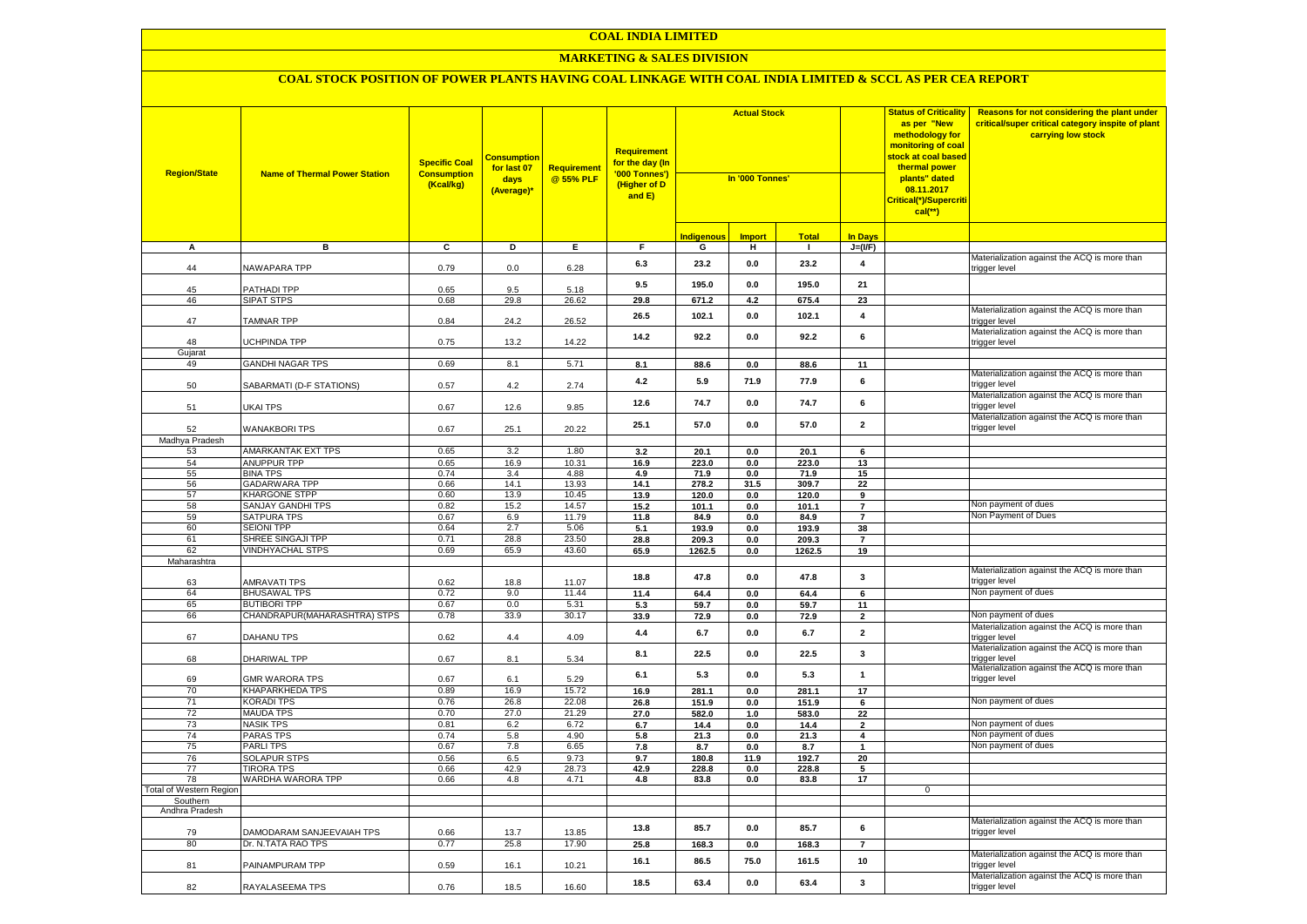### **MARKETING & SALES DIVISION**

| <b>Region/State</b>        | <b>Name of Thermal Power Station</b>  | <b>Specific Coal</b><br><b>Consumption</b><br>(Kcal/kg) | <b>Consumption</b><br>for last 07<br>days<br>(Average)* | Requirement<br>@ 55% PLF | <b>Requirement</b><br><mark>for the day (In</mark><br>'000 Tonnes')<br>(Higher of D<br>and E) | <b>Actual Stock</b><br>In '000 Tonnes' |               | <b>Status of Criticality</b><br>as per "New<br>methodology for<br>monitoring of coal<br><mark>stock at coal based</mark><br>thermal power<br>plants" dated<br>08.11.2017<br>Critical(*)/Supercriti<br>$cal$ (**) |                         | Reasons for not considering the plant under<br>critical/super critical category inspite of plant<br>carrying low stock |                                                                                                               |
|----------------------------|---------------------------------------|---------------------------------------------------------|---------------------------------------------------------|--------------------------|-----------------------------------------------------------------------------------------------|----------------------------------------|---------------|------------------------------------------------------------------------------------------------------------------------------------------------------------------------------------------------------------------|-------------------------|------------------------------------------------------------------------------------------------------------------------|---------------------------------------------------------------------------------------------------------------|
|                            |                                       |                                                         |                                                         |                          |                                                                                               | <b>Indigenous</b>                      | <b>Import</b> | <b>Total</b>                                                                                                                                                                                                     | <b>In Days</b>          |                                                                                                                        |                                                                                                               |
| A                          | в                                     | C                                                       | D                                                       | Е.                       | F.                                                                                            | G                                      | н             | л.                                                                                                                                                                                                               | $J=(VF)$                |                                                                                                                        |                                                                                                               |
| 44                         | NAWAPARA TPP                          | 0.79                                                    | 0.0                                                     | 6.28                     | 6.3                                                                                           | 23.2                                   | 0.0           | 23.2                                                                                                                                                                                                             | $\overline{\mathbf{4}}$ |                                                                                                                        | Materialization against the ACQ is more than<br>trigger level                                                 |
| 45                         | PATHADI TPP                           | 0.65                                                    | 9.5                                                     | 5.18                     | 9.5                                                                                           | 195.0                                  | 0.0           | 195.0                                                                                                                                                                                                            | 21                      |                                                                                                                        |                                                                                                               |
| 46                         | <b>SIPAT STPS</b>                     | 0.68                                                    | 29.8                                                    | 26.62                    | 29.8                                                                                          | 671.2                                  | 4.2           | 675.4                                                                                                                                                                                                            | 23                      |                                                                                                                        |                                                                                                               |
| 47                         | <b>TAMNAR TPP</b>                     | 0.84                                                    | 24.2                                                    | 26.52                    | 26.5                                                                                          | 102.1                                  | 0.0           | 102.1                                                                                                                                                                                                            | $\overline{\mathbf{4}}$ |                                                                                                                        | Materialization against the ACQ is more than<br>trigger level                                                 |
| 48                         | <b>JCHPINDA TPP</b>                   | 0.75                                                    | 13.2                                                    | 14.22                    | 14.2                                                                                          | 92.2                                   | 0.0           | 92.2                                                                                                                                                                                                             | 6                       |                                                                                                                        | Materialization against the ACQ is more than<br>trigger level                                                 |
| Gujarat                    |                                       |                                                         |                                                         |                          |                                                                                               |                                        |               |                                                                                                                                                                                                                  |                         |                                                                                                                        |                                                                                                               |
| 49                         | <b>GANDHI NAGAR TPS</b>               | 0.69                                                    | 8.1                                                     | 5.71                     | 8.1                                                                                           | 88.6                                   | 0.0           | 88.6                                                                                                                                                                                                             | 11                      |                                                                                                                        | Materialization against the ACQ is more than                                                                  |
| 50                         | SABARMATI (D-F STATIONS)              | 0.57                                                    | 4.2                                                     | 2.74                     | 4.2                                                                                           | 5.9                                    | 71.9          | 77.9                                                                                                                                                                                                             | 6                       |                                                                                                                        | trigger level<br>Materialization against the ACQ is more than                                                 |
| 51                         | UKAI TPS                              | 0.67                                                    | 12.6                                                    | 9.85                     | 12.6                                                                                          | 74.7                                   | 0.0           | 74.7                                                                                                                                                                                                             | 6                       |                                                                                                                        | trigger level                                                                                                 |
| 52                         | <b>WANAKBORI TPS</b>                  | 0.67                                                    | 25.1                                                    | 20.22                    | 25.1                                                                                          | 57.0                                   | 0.0           | 57.0                                                                                                                                                                                                             | $\overline{\mathbf{2}}$ |                                                                                                                        | Materialization against the ACQ is more than<br>trigger level                                                 |
| Madhya Pradesh             |                                       |                                                         |                                                         |                          |                                                                                               |                                        |               |                                                                                                                                                                                                                  |                         |                                                                                                                        |                                                                                                               |
| 53                         | AMARKANTAK EXT TPS                    | 0.65                                                    | 3.2                                                     | 1.80                     | 3.2                                                                                           | 20.1                                   | 0.0           | 20.1                                                                                                                                                                                                             | 6                       |                                                                                                                        |                                                                                                               |
| 54<br>55                   | <b>ANUPPUR TPP</b><br><b>BINA TPS</b> | 0.65<br>0.74                                            | 16.9<br>3.4                                             | 10.31                    | 16.9                                                                                          | 223.0                                  | 0.0           | 223.0                                                                                                                                                                                                            | 13                      |                                                                                                                        |                                                                                                               |
| 56                         | <b>GADARWARA TPP</b>                  | 0.66                                                    | 14.1                                                    | 4.88<br>13.93            | 4.9<br>14.1                                                                                   | 71.9<br>278.2                          | 0.0<br>31.5   | 71.9<br>309.7                                                                                                                                                                                                    | 15<br>22                |                                                                                                                        |                                                                                                               |
| 57                         | <b>KHARGONE STPP</b>                  | 0.60                                                    | 13.9                                                    | 10.45                    | 13.9                                                                                          | 120.0                                  | 0.0           | 120.0                                                                                                                                                                                                            | 9                       |                                                                                                                        |                                                                                                               |
| 58                         | SANJAY GANDHI TPS                     | 0.82                                                    | 15.2                                                    | 14.57                    | 15.2                                                                                          | 101.1                                  | 0.0           | 101.1                                                                                                                                                                                                            | $\overline{7}$          |                                                                                                                        | Non payment of dues                                                                                           |
| 59                         | <b>SATPURA TPS</b>                    | 0.67                                                    | 6.9                                                     | 11.79                    | 11.8                                                                                          | 84.9                                   | 0.0           | 84.9                                                                                                                                                                                                             | $\overline{7}$          |                                                                                                                        | Non Payment of Dues                                                                                           |
| 60                         | <b>SEIONI TPP</b>                     | 0.64                                                    | 2.7                                                     | 5.06                     | 5.1                                                                                           | 193.9                                  | 0.0           | 193.9                                                                                                                                                                                                            | 38                      |                                                                                                                        |                                                                                                               |
| 61                         | SHREE SINGAJI TPP                     | 0.71                                                    | 28.8                                                    | 23.50                    | 28.8                                                                                          | 209.3                                  | 0.0           | 209.3                                                                                                                                                                                                            | $\overline{7}$          |                                                                                                                        |                                                                                                               |
| 62                         | <b>VINDHYACHAL STPS</b>               | 0.69                                                    | 65.9                                                    | 43.60                    | 65.9                                                                                          | 1262.5                                 | 0.0           | 1262.5                                                                                                                                                                                                           | 19                      |                                                                                                                        |                                                                                                               |
| Maharashtra                |                                       |                                                         |                                                         |                          |                                                                                               |                                        |               |                                                                                                                                                                                                                  |                         |                                                                                                                        |                                                                                                               |
| 63                         | AMRAVATI TPS                          | 0.62                                                    | 18.8                                                    | 11.07                    | 18.8                                                                                          | 47.8                                   | 0.0           | 47.8                                                                                                                                                                                                             | 3                       |                                                                                                                        | Materialization against the ACQ is more than<br>trigger level                                                 |
| 64                         | <b>BHUSAWAL TPS</b>                   | 0.72                                                    | 9.0                                                     | 11.44                    | 11.4                                                                                          | 64.4                                   | 0.0           | 64.4                                                                                                                                                                                                             | 6                       |                                                                                                                        | Non payment of dues                                                                                           |
| 65                         | <b>BUTIBORI TPP</b>                   | 0.67                                                    | 0.0                                                     | 5.31                     | 5.3                                                                                           | 59.7                                   | 0.0           | 59.7                                                                                                                                                                                                             | 11                      |                                                                                                                        |                                                                                                               |
| 66                         | CHANDRAPUR (MAHARASHTRA) STPS         | 0.78                                                    | 33.9                                                    | 30.17                    | 33.9                                                                                          | 72.9                                   | 0.0           | 72.9                                                                                                                                                                                                             | $\overline{2}$          |                                                                                                                        | Von payment of dues                                                                                           |
| 67                         | DAHANU TPS                            | 0.62                                                    | 4.4                                                     | 4.09                     | 4.4                                                                                           | 6.7                                    | 0.0           | 6.7                                                                                                                                                                                                              | $\overline{\mathbf{2}}$ |                                                                                                                        | Materialization against the ACQ is more than<br>trigger level                                                 |
| 68                         | DHARIWAL TPP                          | 0.67                                                    | 8.1                                                     | 5.34                     | 8.1                                                                                           | 22.5                                   | 0.0           | 22.5                                                                                                                                                                                                             | 3                       |                                                                                                                        | Materialization against the ACQ is more than<br>trigger level<br>Materialization against the ACQ is more than |
| 69                         | <b>GMR WARORA TPS</b>                 | 0.67                                                    | 6.1                                                     | 5.29                     | 6.1                                                                                           | 5.3                                    | 0.0           | 5.3                                                                                                                                                                                                              | $\mathbf{1}$            |                                                                                                                        | trigger level                                                                                                 |
| 70<br>71                   | KHAPARKHEDA TPS<br><b>KORADI TPS</b>  | 0.89<br>0.76                                            | 16.9<br>26.8                                            | 15.72<br>22.08           | 16.9<br>26.8                                                                                  | 281.1<br>151.9                         | 0.0<br>0.0    | 281.1<br>151.9                                                                                                                                                                                                   | 17<br>6                 |                                                                                                                        | Non payment of dues                                                                                           |
| 72                         | <b>MAUDA TPS</b>                      | 0.70                                                    | 27.0                                                    | 21.29                    | 27.0                                                                                          | 582.0                                  | $1.0$         | 583.0                                                                                                                                                                                                            | 22                      |                                                                                                                        |                                                                                                               |
| 73                         | NASIK TPS                             | 0.81                                                    | 6.2                                                     | 6.72                     | 6.7                                                                                           | 14.4                                   | 0.0           | 14.4                                                                                                                                                                                                             | $\mathbf 2$             |                                                                                                                        | Non payment of dues                                                                                           |
| 74                         | PARAS TPS                             | 0.74                                                    | 5.8                                                     | 4.90                     | 5.8                                                                                           | 21.3                                   | 0.0           | 21.3                                                                                                                                                                                                             | $\overline{\mathbf{4}}$ |                                                                                                                        | Non payment of dues                                                                                           |
| 75                         | <b>PARLITPS</b>                       | 0.67                                                    | 7.8                                                     | 6.65                     | 7.8                                                                                           | 8.7                                    | 0.0           | 8.7                                                                                                                                                                                                              | $\mathbf 1$             |                                                                                                                        | Non payment of dues                                                                                           |
| 76                         | <b>SOLAPUR STPS</b>                   | 0.56                                                    | 6.5                                                     | 9.73                     | 9.7                                                                                           | 180.8                                  | 11.9          | 192.7                                                                                                                                                                                                            | 20                      |                                                                                                                        |                                                                                                               |
| 77                         | <b>TIRORA TPS</b>                     | 0.66                                                    | 42.9                                                    | 28.73                    | 42.9                                                                                          | 228.8                                  | 0.0           | 228.8                                                                                                                                                                                                            | 5                       |                                                                                                                        |                                                                                                               |
| 78                         | WARDHA WARORA TPP                     | 0.66                                                    | 4.8                                                     | 4.71                     | 4.8                                                                                           | 83.8                                   | $0.0\,$       | 83.8                                                                                                                                                                                                             | 17                      |                                                                                                                        |                                                                                                               |
| Total of Western Region    |                                       |                                                         |                                                         |                          |                                                                                               |                                        |               |                                                                                                                                                                                                                  |                         | $\mathbf 0$                                                                                                            |                                                                                                               |
| Southern<br>Andhra Pradesh |                                       |                                                         |                                                         |                          |                                                                                               |                                        |               |                                                                                                                                                                                                                  |                         |                                                                                                                        |                                                                                                               |
| 79                         | DAMODARAM SANJEEVAIAH TPS             | 0.66                                                    | 13.7                                                    | 13.85                    | 13.8                                                                                          | 85.7                                   | 0.0           | 85.7                                                                                                                                                                                                             | 6                       |                                                                                                                        | Materialization against the ACQ is more than<br>trigger level                                                 |
| 80                         | Dr. N.TATA RAO TPS                    | 0.77                                                    | 25.8                                                    | 17.90                    | 25.8                                                                                          | 168.3                                  | 0.0           | 168.3                                                                                                                                                                                                            | $\overline{7}$          |                                                                                                                        |                                                                                                               |
| 81                         | PAINAMPURAM TPP                       | 0.59                                                    | 16.1                                                    | 10.21                    | 16.1                                                                                          | 86.5                                   | 75.0          | 161.5                                                                                                                                                                                                            | 10                      |                                                                                                                        | Materialization against the ACQ is more than<br>trigger level                                                 |
| 82                         | RAYALASEEMA TPS                       | 0.76                                                    | 18.5                                                    | 16.60                    | 18.5                                                                                          | 63.4                                   | 0.0           | 63.4                                                                                                                                                                                                             | 3                       |                                                                                                                        | Materialization against the ACQ is more than<br>trigger level                                                 |
|                            |                                       |                                                         |                                                         |                          |                                                                                               |                                        |               |                                                                                                                                                                                                                  |                         |                                                                                                                        |                                                                                                               |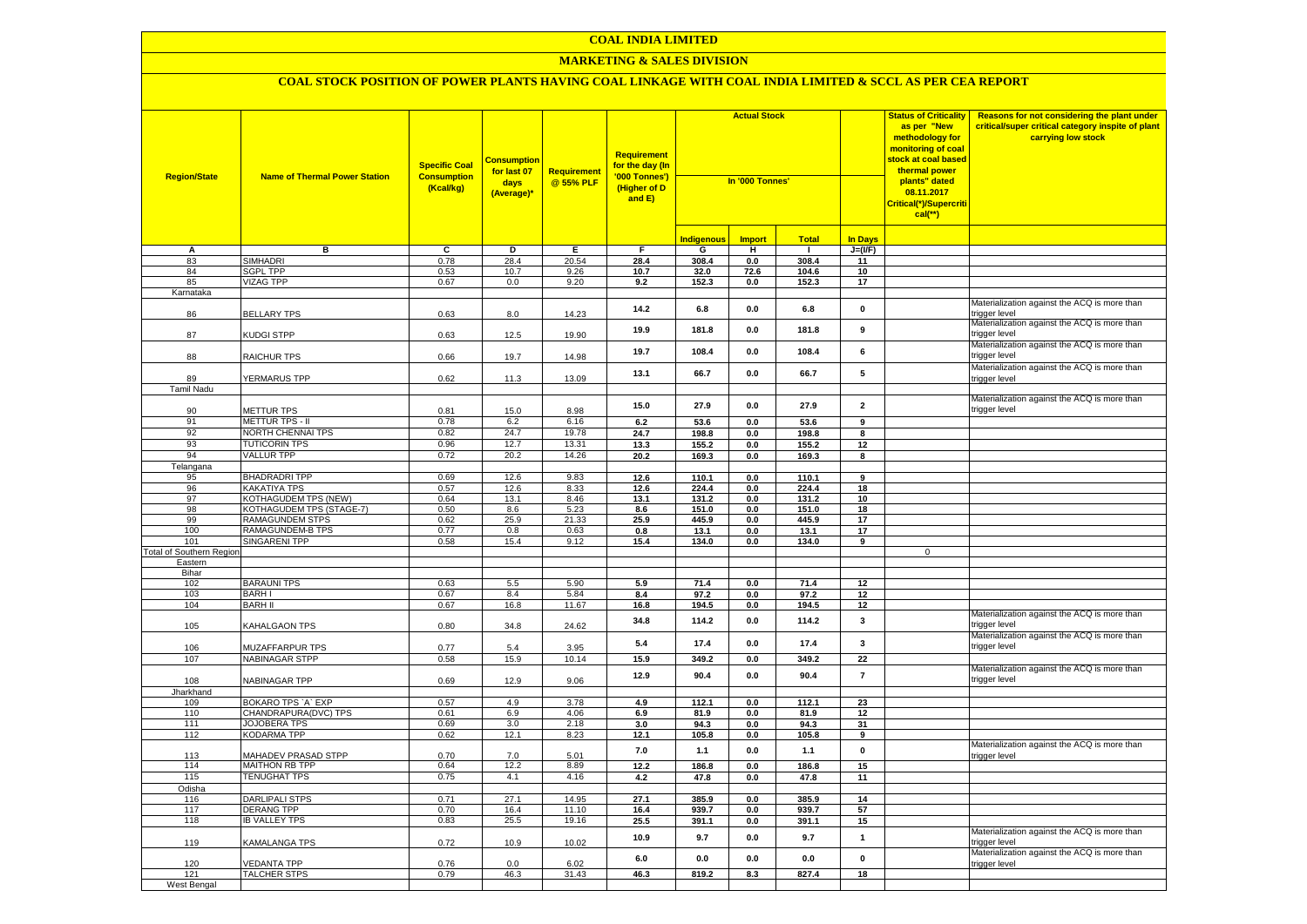### **MARKETING & SALES DIVISION**

| <b>Region/State</b>                    | <b>Name of Thermal Power Station</b>        | <b>Specific Coal</b><br><b>Consumption</b><br>(Kcal/kg) | <b>Consumptior</b><br>for last 07<br>days<br>(Average)* | <b>Requirement</b><br>@ 55% PLF | <b>Requirement</b><br>for the day (In<br>'000 Tonnes')<br>(Higher of D<br>and E) | <b>Actual Stock</b><br>In '000 Tonnes' |                | <b>Status of Criticality</b><br>as per "New<br>methodology for<br>monitoring of coal<br><mark>stock at coal based</mark><br>thermal power<br>plants" dated<br>08.11.2017<br>Critical(*)/Supercriti<br>$cal$ (**) |                         | Reasons for not considering the plant under<br>critical/super critical category inspite of plant<br>carrying low stock |                                                               |
|----------------------------------------|---------------------------------------------|---------------------------------------------------------|---------------------------------------------------------|---------------------------------|----------------------------------------------------------------------------------|----------------------------------------|----------------|------------------------------------------------------------------------------------------------------------------------------------------------------------------------------------------------------------------|-------------------------|------------------------------------------------------------------------------------------------------------------------|---------------------------------------------------------------|
|                                        |                                             |                                                         |                                                         |                                 |                                                                                  | <b>Indigenous</b>                      | <b>Import</b>  | <b>Total</b>                                                                                                                                                                                                     | <b>In Davs</b>          |                                                                                                                        |                                                               |
| А                                      | в                                           | $\overline{c}$                                          | Þ                                                       | E                               | $\overline{F}$                                                                   | G                                      | н              | - 1                                                                                                                                                                                                              | $J=(VF)$                |                                                                                                                        |                                                               |
| 83                                     | <b>SIMHADRI</b>                             | 0.78                                                    | 28.4                                                    | 20.54                           | 28.4                                                                             | 308.4                                  | 0.0            | 308.4                                                                                                                                                                                                            | 11                      |                                                                                                                        |                                                               |
| 84                                     | <b>SGPL TPP</b>                             | 0.53                                                    | 10.7                                                    | 9.26                            | 10.7                                                                             | 32.0                                   | 72.6           | 104.6                                                                                                                                                                                                            | 10                      |                                                                                                                        |                                                               |
| 85                                     | <b>VIZAG TPP</b>                            | 0.67                                                    | 0.0                                                     | 9.20                            | 9.2                                                                              | 152.3                                  | 0.0            | 152.3                                                                                                                                                                                                            | 17                      |                                                                                                                        |                                                               |
| Karnataka                              |                                             |                                                         |                                                         |                                 |                                                                                  |                                        |                |                                                                                                                                                                                                                  |                         |                                                                                                                        |                                                               |
| 86                                     | <b>BELLARY TPS</b>                          | 0.63                                                    | 8.0                                                     | 14.23                           | 14.2                                                                             | 6.8                                    | $0.0\,$        | 6.8                                                                                                                                                                                                              | $\mathbf 0$             |                                                                                                                        | Materialization against the ACQ is more than<br>trigger level |
| 87                                     | KUDGI STPP                                  | 0.63                                                    | 12.5                                                    | 19.90                           | 19.9                                                                             | 181.8                                  | 0.0            | 181.8                                                                                                                                                                                                            | 9                       |                                                                                                                        | Materialization against the ACQ is more than<br>trigger level |
| 88                                     | <b>RAICHUR TPS</b>                          | 0.66                                                    | 19.7                                                    | 14.98                           | 19.7                                                                             | 108.4                                  | 0.0            | 108.4                                                                                                                                                                                                            | 6                       |                                                                                                                        | Materialization against the ACQ is more than<br>rigger level  |
|                                        |                                             |                                                         |                                                         |                                 | 13.1                                                                             | 66.7                                   | 0.0            | 66.7                                                                                                                                                                                                             | 5                       |                                                                                                                        | Materialization against the ACQ is more than                  |
| 89                                     | YERMARUS TPP                                | 0.62                                                    | 11.3                                                    | 13.09                           |                                                                                  |                                        |                |                                                                                                                                                                                                                  |                         |                                                                                                                        | rigger level                                                  |
| Tamil Nadu                             |                                             |                                                         |                                                         |                                 |                                                                                  |                                        |                |                                                                                                                                                                                                                  |                         |                                                                                                                        | Materialization against the ACQ is more than                  |
| 90                                     | <b>METTUR TPS</b>                           | 0.81                                                    | 15.0                                                    | 8.98                            | 15.0                                                                             | 27.9                                   | $0.0\,$        | 27.9                                                                                                                                                                                                             | $\overline{\mathbf{2}}$ |                                                                                                                        | trigger level                                                 |
| 91                                     | METTUR TPS - II                             | 0.78                                                    | 6.2                                                     | 6.16                            | 6.2                                                                              | 53.6                                   | 0.0            | 53.6                                                                                                                                                                                                             | 9                       |                                                                                                                        |                                                               |
| 92                                     | NORTH CHENNAI TPS                           | 0.82                                                    | 24.7                                                    | 19.78                           | 24.7                                                                             | 198.8                                  | 0.0            | 198.8                                                                                                                                                                                                            | 8                       |                                                                                                                        |                                                               |
| 93                                     | <b>TUTICORIN TPS</b>                        | 0.96                                                    | 12.7                                                    | 13.31                           | 13.3                                                                             | 155.2                                  | 0.0            | 155.2                                                                                                                                                                                                            | 12                      |                                                                                                                        |                                                               |
| 94                                     | <b>VALLUR TPP</b>                           | 0.72                                                    | 20.2                                                    | 14.26                           | 20.2                                                                             | 169.3                                  | $0.0\,$        | 169.3                                                                                                                                                                                                            | 8                       |                                                                                                                        |                                                               |
| Telangana                              |                                             |                                                         |                                                         |                                 |                                                                                  |                                        |                |                                                                                                                                                                                                                  |                         |                                                                                                                        |                                                               |
| 95                                     | <b>BHADRADRI TPP</b>                        | 0.69                                                    | 12.6                                                    | 9.83                            | 12.6                                                                             | 110.1                                  | 0.0            | 110.1                                                                                                                                                                                                            | $\overline{9}$          |                                                                                                                        |                                                               |
| 96                                     | <b>KAKATIYA TPS</b>                         | 0.57                                                    | 12.6                                                    | 8.33                            | 12.6                                                                             | 224.4                                  | 0.0            | 224.4                                                                                                                                                                                                            | 18                      |                                                                                                                        |                                                               |
| 97                                     | KOTHAGUDEM TPS (NEW)                        | 0.64                                                    | 13.1                                                    | 8.46                            | 13.1                                                                             | 131.2                                  | 0.0            | 131.2                                                                                                                                                                                                            | 10                      |                                                                                                                        |                                                               |
| 98                                     | KOTHAGUDEM TPS (STAGE-7)                    | 0.50                                                    | 8.6                                                     | 5.23                            | 8.6                                                                              | 151.0                                  | 0.0            | 151.0                                                                                                                                                                                                            | 18                      |                                                                                                                        |                                                               |
| 99<br>100                              | RAMAGUNDEM STPS                             | 0.62                                                    | 25.9<br>0.8                                             | 21.33<br>0.63                   | 25.9                                                                             | 445.9                                  | 0.0            | 445.9                                                                                                                                                                                                            | 17                      |                                                                                                                        |                                                               |
|                                        | RAMAGUNDEM-B TPS<br><b>SINGARENI TPP</b>    | 0.77<br>0.58                                            | 15.4                                                    | 9.12                            | 0.8<br>15.4                                                                      | 13.1<br>134.0                          | 0.0<br>$0.0\,$ | 13.1<br>134.0                                                                                                                                                                                                    | 17<br>9                 |                                                                                                                        |                                                               |
| 101<br><b>Total of Southern Region</b> |                                             |                                                         |                                                         |                                 |                                                                                  |                                        |                |                                                                                                                                                                                                                  |                         | $\mathbf 0$                                                                                                            |                                                               |
| Eastern                                |                                             |                                                         |                                                         |                                 |                                                                                  |                                        |                |                                                                                                                                                                                                                  |                         |                                                                                                                        |                                                               |
| Bihar                                  |                                             |                                                         |                                                         |                                 |                                                                                  |                                        |                |                                                                                                                                                                                                                  |                         |                                                                                                                        |                                                               |
| 102                                    | <b>BARAUNI TPS</b>                          | 0.63                                                    | 5.5                                                     | 5.90                            | 5.9                                                                              | 71.4                                   | 0.0            | 71.4                                                                                                                                                                                                             | 12                      |                                                                                                                        |                                                               |
| 103                                    | <b>BARHI</b>                                | 0.67                                                    | 8.4                                                     | 5.84                            | 8.4                                                                              | 97.2                                   | 0.0            | 97.2                                                                                                                                                                                                             | 12                      |                                                                                                                        |                                                               |
| 104                                    | <b>BARH II</b>                              | 0.67                                                    | 16.8                                                    | 11.67                           | 16.8                                                                             | 194.5                                  | 0.0            | 194.5                                                                                                                                                                                                            | 12                      |                                                                                                                        |                                                               |
| 105                                    | KAHALGAON TPS                               | 0.80                                                    | 34.8                                                    | 24.62                           | 34.8                                                                             | 114.2                                  | 0.0            | 114.2                                                                                                                                                                                                            | 3                       |                                                                                                                        | Materialization against the ACQ is more than<br>rigger level: |
| 106                                    | MUZAFFARPUR TPS                             | 0.77                                                    | 5.4                                                     | 3.95                            | 5.4                                                                              | 17.4                                   | 0.0            | 17.4                                                                                                                                                                                                             | $\mathbf{3}$            |                                                                                                                        | Materialization against the ACQ is more than<br>rigger level  |
| 107                                    | <b>NABINAGAR STPP</b>                       | 0.58                                                    | 15.9                                                    | 10.14                           | 15.9                                                                             | 349.2                                  | 0.0            | 349.2                                                                                                                                                                                                            | 22                      |                                                                                                                        |                                                               |
| 108                                    | NABINAGAR TPP                               | 0.69                                                    | 12.9                                                    | 9.06                            | 12.9                                                                             | 90.4                                   | 0.0            | 90.4                                                                                                                                                                                                             | $\overline{7}$          |                                                                                                                        | Materialization against the ACQ is more than<br>rigger level  |
| Jharkhand                              |                                             |                                                         |                                                         |                                 |                                                                                  |                                        |                |                                                                                                                                                                                                                  |                         |                                                                                                                        |                                                               |
| 109                                    | BOKARO TPS 'A' EXP                          | 0.57                                                    | 4.9                                                     | 3.78                            | 4.9                                                                              | 112.1                                  | $0.0\,$        | 112.1                                                                                                                                                                                                            | 23<br>12                |                                                                                                                        |                                                               |
| 110<br>111                             | CHANDRAPURA(DVC) TPS<br><b>JOJOBERA TPS</b> | 0.61<br>0.69                                            | 6.9<br>3.0                                              | 4.06<br>2.18                    | 6.9<br>3.0                                                                       | 81.9<br>94.3                           | $0.0\,$<br>0.0 | 81.9<br>94.3                                                                                                                                                                                                     | 31                      |                                                                                                                        |                                                               |
| 112                                    | KODARMA TPP                                 | 0.62                                                    | 12.1                                                    | 8.23                            | 12.1                                                                             | 105.8                                  | 0.0            | 105.8                                                                                                                                                                                                            | 9                       |                                                                                                                        |                                                               |
|                                        |                                             |                                                         |                                                         |                                 |                                                                                  |                                        |                |                                                                                                                                                                                                                  |                         |                                                                                                                        | Materialization against the ACQ is more than                  |
| 113                                    | MAHADEV PRASAD STPP                         | 0.70                                                    | 7.0                                                     | 5.01                            | 7.0                                                                              | $1.1$                                  | $0.0\,$        | $1.1$                                                                                                                                                                                                            | $\pmb{0}$               |                                                                                                                        | rigger level                                                  |
| 114                                    | <b>MAITHON RB TPP</b>                       | 0.64                                                    | 12.2                                                    | 8.89                            | 12.2                                                                             | 186.8                                  | 0.0            | 186.8                                                                                                                                                                                                            | 15                      |                                                                                                                        |                                                               |
| 115                                    | <b>TENUGHAT TPS</b>                         | 0.75                                                    | 4.1                                                     | 4.16                            | 4.2                                                                              | 47.8                                   | 0.0            | 47.8                                                                                                                                                                                                             | 11                      |                                                                                                                        |                                                               |
| Odisha                                 |                                             |                                                         |                                                         |                                 |                                                                                  |                                        |                |                                                                                                                                                                                                                  |                         |                                                                                                                        |                                                               |
| 116                                    | <b>DARLIPALI STPS</b>                       | 0.71                                                    | 27.1                                                    | 14.95                           | 27.1                                                                             | 385.9                                  | 0.0            | 385.9                                                                                                                                                                                                            | 14                      |                                                                                                                        |                                                               |
| 117<br>118                             | DERANG TPP<br><b>IB VALLEY TPS</b>          | 0.70                                                    | 16.4                                                    | 11.10                           | 16.4                                                                             | 939.7                                  | 0.0            | 939.7                                                                                                                                                                                                            | 57                      |                                                                                                                        |                                                               |
|                                        |                                             | 0.83                                                    | 25.5                                                    | 19.16                           | 25.5                                                                             | 391.1                                  | $0.0\,$        | 391.1                                                                                                                                                                                                            | 15                      |                                                                                                                        | Materialization against the ACQ is more than                  |
| 119                                    | <b>KAMALANGA TPS</b>                        | 0.72                                                    | 10.9                                                    | 10.02                           | 10.9                                                                             | 9.7                                    | 0.0            | 9.7                                                                                                                                                                                                              | $\mathbf{1}$            |                                                                                                                        | rigger level                                                  |
| 120                                    | <b>/EDANTA TPP</b>                          | 0.76                                                    | 0.0                                                     | 6.02                            | 6.0                                                                              | 0.0                                    | 0.0            | 0.0                                                                                                                                                                                                              | $\pmb{0}$               |                                                                                                                        | Materialization against the ACQ is more than<br>trigger level |
| 121                                    | <b>TALCHER STPS</b>                         | 0.79                                                    | 46.3                                                    | 31.43                           | 46.3                                                                             | 819.2                                  | 8.3            | 827.4                                                                                                                                                                                                            | 18                      |                                                                                                                        |                                                               |
| West Bengal                            |                                             |                                                         |                                                         |                                 |                                                                                  |                                        |                |                                                                                                                                                                                                                  |                         |                                                                                                                        |                                                               |